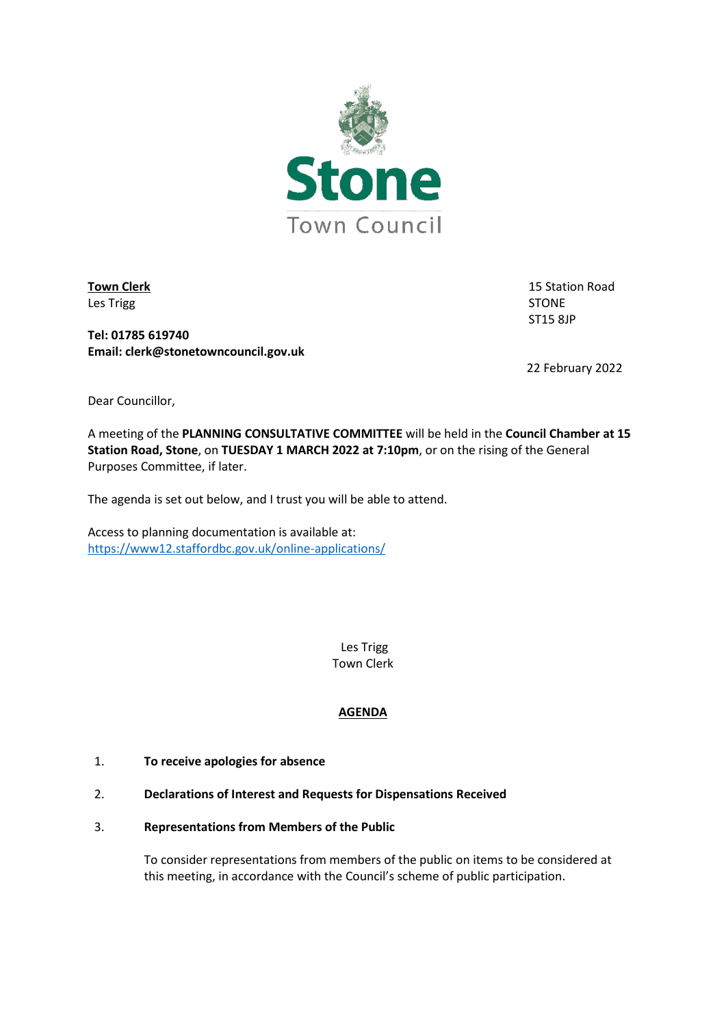

Les Trigg and the state of the state of the state of the state of the STONE

**Town Clerk** 15 Station Road ST15 8JP

**Tel: 01785 619740 Email: clerk@stonetowncouncil.gov.uk**

22 February 2022

Dear Councillor,

A meeting of the **PLANNING CONSULTATIVE COMMITTEE** will be held in the **Council Chamber at 15 Station Road, Stone**, on **TUESDAY 1 MARCH 2022 at 7:10pm**, or on the rising of the General Purposes Committee, if later.

The agenda is set out below, and I trust you will be able to attend.

Access to planning documentation is available at: <https://www12.staffordbc.gov.uk/online-applications/>

> Les Trigg Town Clerk

# **AGENDA**

- 1. **To receive apologies for absence**
- 2. **Declarations of Interest and Requests for Dispensations Received**
- 3. **Representations from Members of the Public**

To consider representations from members of the public on items to be considered at this meeting, in accordance with the Council's scheme of public participation.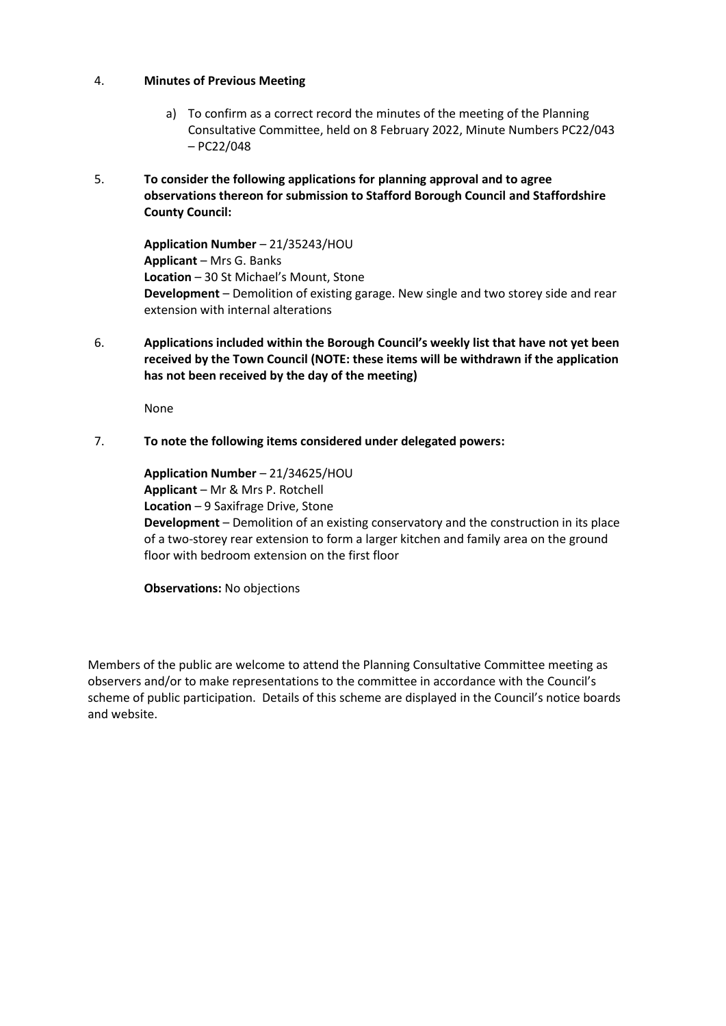# 4. **Minutes of Previous Meeting**

- a) To confirm as a correct record the minutes of the meeting of the Planning Consultative Committee, held on 8 February 2022, Minute Numbers PC22/043 – PC22/048
- 5. **To consider the following applications for planning approval and to agree observations thereon for submission to Stafford Borough Council and Staffordshire County Council:**

**Application Number** – 21/35243/HOU **Applicant** – Mrs G. Banks **Location** – 30 St Michael's Mount, Stone **Development** – Demolition of existing garage. New single and two storey side and rear extension with internal alterations

6. **Applications included within the Borough Council's weekly list that have not yet been received by the Town Council (NOTE: these items will be withdrawn if the application has not been received by the day of the meeting)**

None

# 7. **To note the following items considered under delegated powers:**

**Application Number** – 21/34625/HOU **Applicant** – Mr & Mrs P. Rotchell **Location** – 9 Saxifrage Drive, Stone **Development** – Demolition of an existing conservatory and the construction in its place of a two-storey rear extension to form a larger kitchen and family area on the ground floor with bedroom extension on the first floor

**Observations:** No objections

Members of the public are welcome to attend the Planning Consultative Committee meeting as observers and/or to make representations to the committee in accordance with the Council's scheme of public participation. Details of this scheme are displayed in the Council's notice boards and website.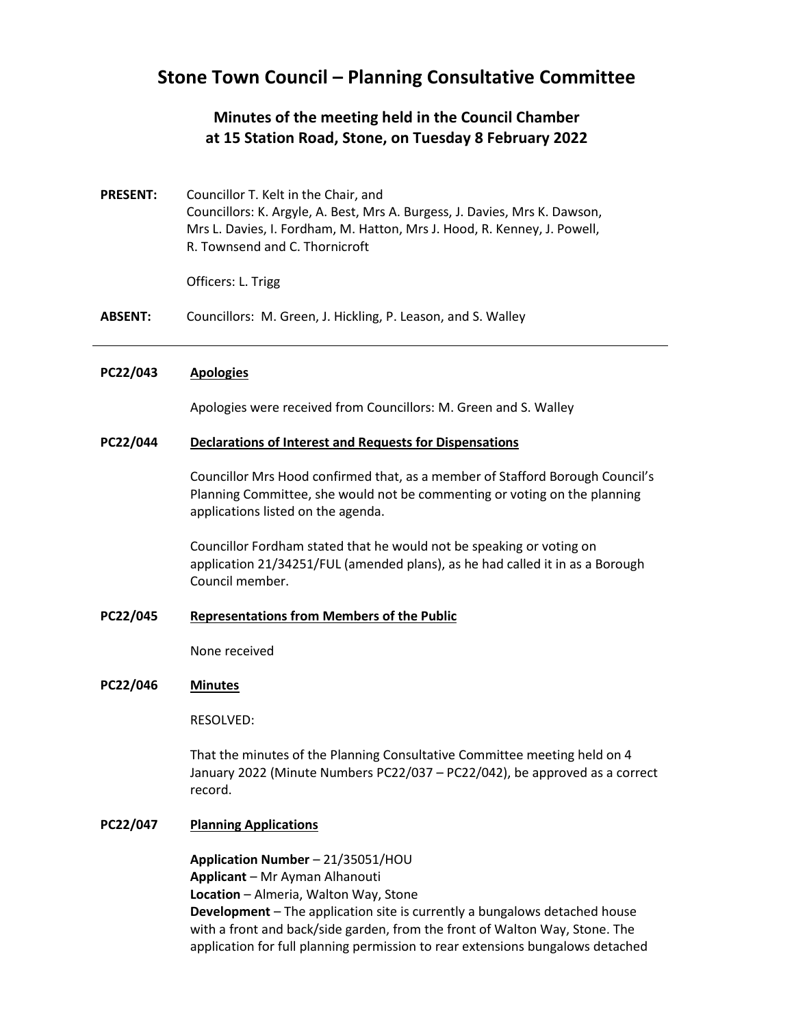# **Stone Town Council – Planning Consultative Committee**

# **Minutes of the meeting held in the Council Chamber at 15 Station Road, Stone, on Tuesday 8 February 2022**

**PRESENT:** Councillor T. Kelt in the Chair, and Councillors: K. Argyle, A. Best, Mrs A. Burgess, J. Davies, Mrs K. Dawson, Mrs L. Davies, I. Fordham, M. Hatton, Mrs J. Hood, R. Kenney, J. Powell, R. Townsend and C. Thornicroft

Officers: L. Trigg

**ABSENT:** Councillors: M. Green, J. Hickling, P. Leason, and S. Walley

#### **PC22/043 Apologies**

Apologies were received from Councillors: M. Green and S. Walley

#### **PC22/044 Declarations of Interest and Requests for Dispensations**

Councillor Mrs Hood confirmed that, as a member of Stafford Borough Council's Planning Committee, she would not be commenting or voting on the planning applications listed on the agenda.

Councillor Fordham stated that he would not be speaking or voting on application 21/34251/FUL (amended plans), as he had called it in as a Borough Council member.

## **PC22/045 Representations from Members of the Public**

None received

#### **PC22/046 Minutes**

RESOLVED:

That the minutes of the Planning Consultative Committee meeting held on 4 January 2022 (Minute Numbers PC22/037 – PC22/042), be approved as a correct record.

## **PC22/047 Planning Applications**

**Application Number** – 21/35051/HOU **Applicant** – Mr Ayman Alhanouti **Location** – Almeria, Walton Way, Stone **Development** – The application site is currently a bungalows detached house with a front and back/side garden, from the front of Walton Way, Stone. The application for full planning permission to rear extensions bungalows detached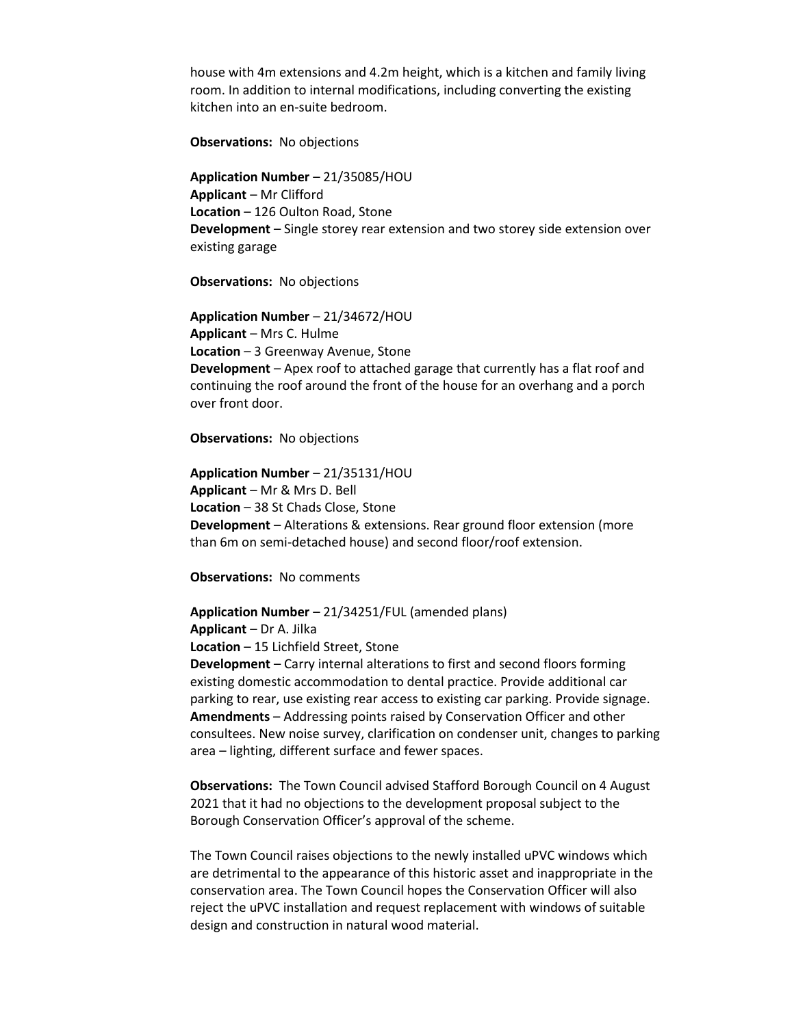house with 4m extensions and 4.2m height, which is a kitchen and family living room. In addition to internal modifications, including converting the existing kitchen into an en-suite bedroom.

**Observations:** No objections

**Application Number** – 21/35085/HOU **Applicant** – Mr Clifford **Location** – 126 Oulton Road, Stone **Development** – Single storey rear extension and two storey side extension over existing garage

**Observations:** No objections

**Application Number** – 21/34672/HOU **Applicant** – Mrs C. Hulme **Location** – 3 Greenway Avenue, Stone **Development** – Apex roof to attached garage that currently has a flat roof and continuing the roof around the front of the house for an overhang and a porch over front door.

**Observations:** No objections

**Application Number** – 21/35131/HOU **Applicant** – Mr & Mrs D. Bell **Location** – 38 St Chads Close, Stone **Development** – Alterations & extensions. Rear ground floor extension (more than 6m on semi-detached house) and second floor/roof extension.

**Observations:** No comments

**Application Number** – 21/34251/FUL (amended plans) **Applicant** – Dr A. Jilka **Location** – 15 Lichfield Street, Stone **Development** – Carry internal alterations to first and second floors forming existing domestic accommodation to dental practice. Provide additional car parking to rear, use existing rear access to existing car parking. Provide signage. **Amendments** – Addressing points raised by Conservation Officer and other consultees. New noise survey, clarification on condenser unit, changes to parking area – lighting, different surface and fewer spaces.

**Observations:** The Town Council advised Stafford Borough Council on 4 August 2021 that it had no objections to the development proposal subject to the Borough Conservation Officer's approval of the scheme.

The Town Council raises objections to the newly installed uPVC windows which are detrimental to the appearance of this historic asset and inappropriate in the conservation area. The Town Council hopes the Conservation Officer will also reject the uPVC installation and request replacement with windows of suitable design and construction in natural wood material.